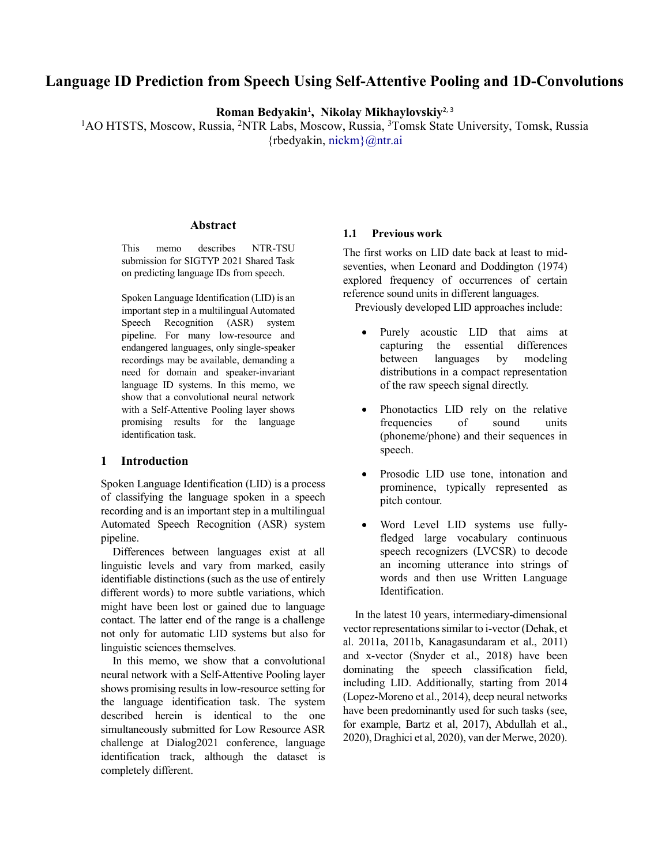# Language ID Prediction from Speech Using Self-Attentive Pooling and 1D-Convolutions

Roman Bedyakin<sup>1</sup>, Nikolay Mikhaylovskiy<sup>2, 3</sup>

<sup>1</sup>AO HTSTS, Moscow, Russia, <sup>2</sup>NTR Labs, Moscow, Russia, <sup>3</sup>Tomsk State University, Tomsk, Russia {rbedyakin, nickm}@ntr.ai

#### Abstract

This memo describes NTR-TSU submission for SIGTYP 2021 Shared Task on predicting language IDs from speech.

Spoken Language Identification (LID) is an important step in a multilingual Automated Speech Recognition (ASR) system pipeline. For many low-resource and endangered languages, only single-speaker recordings may be available, demanding a need for domain and speaker-invariant language ID systems. In this memo, we show that a convolutional neural network with a Self-Attentive Pooling layer shows promising results for the language identification task.

## 1 Introduction

Spoken Language Identification (LID) is a process of classifying the language spoken in a speech recording and is an important step in a multilingual Automated Speech Recognition (ASR) system pipeline.

Differences between languages exist at all linguistic levels and vary from marked, easily identifiable distinctions (such as the use of entirely different words) to more subtle variations, which might have been lost or gained due to language contact. The latter end of the range is a challenge not only for automatic LID systems but also for linguistic sciences themselves.

In this memo, we show that a convolutional neural network with a Self-Attentive Pooling layer shows promising results in low-resource setting for the language identification task. The system described herein is identical to the one simultaneously submitted for Low Resource ASR challenge at Dialog2021 conference, language identification track, although the dataset is completely different.

## 1.1 Previous work

The first works on LID date back at least to midseventies, when Leonard and Doddington (1974) explored frequency of occurrences of certain reference sound units in different languages.

Previously developed LID approaches include:

- Purely acoustic LID that aims at capturing the essential differences between languages by modeling distributions in a compact representation of the raw speech signal directly.
- Phonotactics LID rely on the relative frequencies of sound units (phoneme/phone) and their sequences in speech.
- Prosodic LID use tone, intonation and prominence, typically represented as pitch contour.
- Word Level LID systems use fullyfledged large vocabulary continuous speech recognizers (LVCSR) to decode an incoming utterance into strings of words and then use Written Language Identification.

In the latest 10 years, intermediary-dimensional vector representations similar to i-vector (Dehak, et al. 2011a, 2011b, Kanagasundaram et al., 2011) and x-vector (Snyder et al., 2018) have been dominating the speech classification field, including LID. Additionally, starting from 2014 (Lopez-Moreno et al., 2014), deep neural networks have been predominantly used for such tasks (see, for example, Bartz et al, 2017), Abdullah et al., 2020), Draghici et al, 2020), van der Merwe, 2020).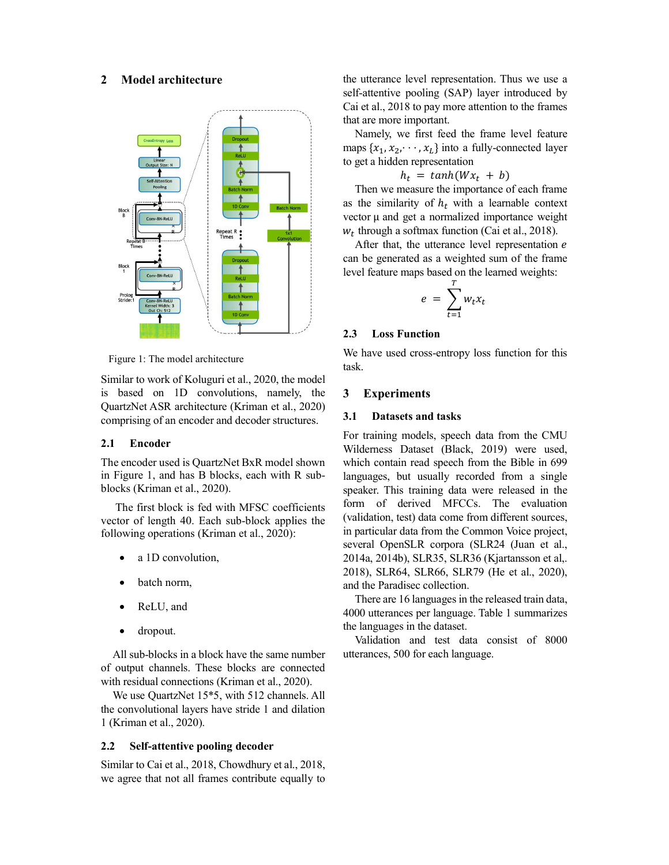## 2 Model architecture



Figure 1: The model architecture

Similar to work of Koluguri et al., 2020, the model is based on 1D convolutions, namely, the QuartzNet ASR architecture (Kriman et al., 2020) comprising of an encoder and decoder structures.

## 2.1 Encoder

The encoder used is QuartzNet BxR model shown in Figure 1, and has B blocks, each with R subblocks (Kriman et al., 2020).

The first block is fed with MFSC coefficients vector of length 40. Each sub-block applies the following operations (Kriman et al., 2020):

- a 1D convolution,
- batch norm,
- ReLU, and
- dropout.

All sub-blocks in a block have the same number of output channels. These blocks are connected with residual connections (Kriman et al., 2020).

We use QuartzNet 15\*5, with 512 channels. All the convolutional layers have stride 1 and dilation 1 (Kriman et al., 2020).

### 2.2 Self-attentive pooling decoder

Similar to Cai et al., 2018, Chowdhury et al., 2018, we agree that not all frames contribute equally to the utterance level representation. Thus we use a self-attentive pooling (SAP) layer introduced by Cai et al., 2018 to pay more attention to the frames that are more important.

Namely, we first feed the frame level feature maps  $\{x_1, x_2, \dots, x_L\}$  into a fully-connected layer to get a hidden representation

$$
h_t = \tanh(Wx_t + b)
$$

Then we measure the importance of each frame as the similarity of  $h_t$  with a learnable context vector  $\mu$  and get a normalized importance weight  $w_t$  through a softmax function (Cai et al., 2018).

After that, the utterance level representation e can be generated as a weighted sum of the frame level feature maps based on the learned weights:

$$
e = \sum_{t=1}^{T} w_t x_t
$$

#### 2.3 Loss Function

We have used cross-entropy loss function for this task.

## 3 Experiments

#### 3.1 Datasets and tasks

For training models, speech data from the CMU Wilderness Dataset (Black, 2019) were used, which contain read speech from the Bible in 699 languages, but usually recorded from a single speaker. This training data were released in the form of derived MFCCs. The evaluation (validation, test) data come from different sources, in particular data from the Common Voice project, several OpenSLR corpora (SLR24 (Juan et al., 2014a, 2014b), SLR35, SLR36 (Kjartansson et al,. 2018), SLR64, SLR66, SLR79 (He et al., 2020), and the Paradisec collection.

There are 16 languages in the released train data, 4000 utterances per language. Table 1 summarizes the languages in the dataset.

Validation and test data consist of 8000 utterances, 500 for each language.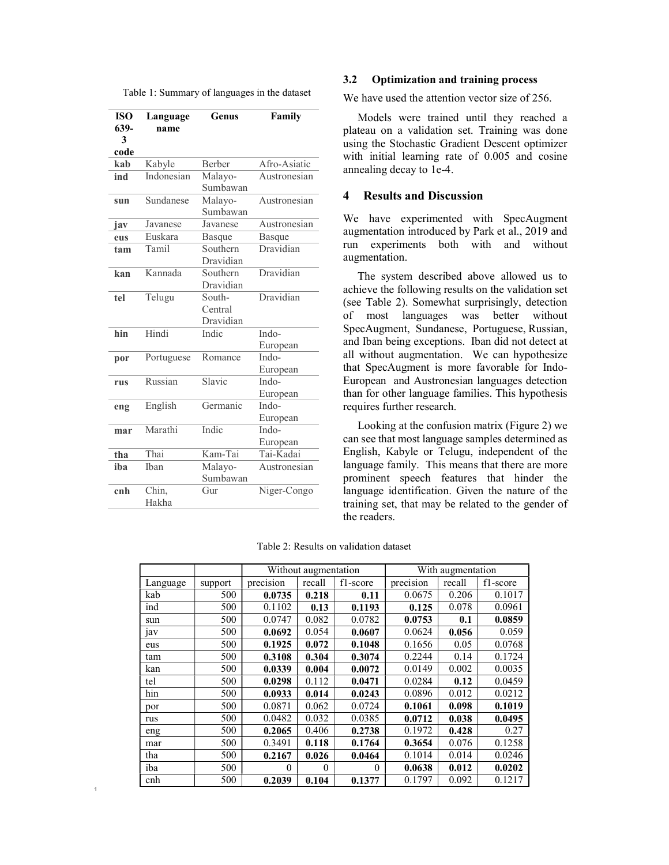Table 1: Summary of languages in the dataset

| <b>ISO</b><br>639- | Language<br>name | Genus                          | Family            |  |  |
|--------------------|------------------|--------------------------------|-------------------|--|--|
| 3                  |                  |                                |                   |  |  |
| code               |                  |                                |                   |  |  |
| kab                | Kabyle           | Berber                         | Afro-Asiatic      |  |  |
| ind                | Indonesian       | Malayo-<br>Sumbawan            | Austronesian      |  |  |
| sun                | Sundanese        | Malayo-<br>Sumbawan            | Austronesian      |  |  |
| iav                | Javanese         | Javanese                       | Austronesian      |  |  |
| eus                | Euskara          | Basque                         | Basque            |  |  |
| tam                | Tamil            | Southern<br>Dravidian          | Dravidian         |  |  |
| kan                | Kannada          | Southern<br>Dravidian          | Dravidian         |  |  |
| tel                | Telugu           | South-<br>Central<br>Dravidian | Dravidian         |  |  |
| hin                | Hindi            | Indic                          | Indo-<br>European |  |  |
| por                | Portuguese       | Romance                        | Indo-<br>European |  |  |
| rus                | Russian          | Slavic                         | Indo-<br>European |  |  |
| eng                | English          | Germanic                       | Indo-<br>European |  |  |
| mar                | Marathi          | Indic                          | Indo-<br>European |  |  |
| tha                | Thai             | Kam-Tai                        | Tai-Kadai         |  |  |
| iba                | Iban             | Malayo-<br>Sumbawan            | Austronesian      |  |  |
| cnh                | Chin,<br>Hakha   | Gur                            | Niger-Congo       |  |  |

1

## 3.2 Optimization and training process

We have used the attention vector size of 256.

Models were trained until they reached a plateau on a validation set. Training was done using the Stochastic Gradient Descent optimizer with initial learning rate of 0.005 and cosine annealing decay to 1e-4.

#### 4 Results and Discussion

We have experimented with SpecAugment augmentation introduced by Park et al., 2019 and run experiments both with and without augmentation.

The system described above allowed us to achieve the following results on the validation set (see Table 2). Somewhat surprisingly, detection of most languages was better without SpecAugment, Sundanese, Portuguese, Russian, and Iban being exceptions. Iban did not detect at all without augmentation. We can hypothesize that SpecAugment is more favorable for Indo-European and Austronesian languages detection than for other language families. This hypothesis requires further research.

Looking at the confusion matrix (Figure 2) we can see that most language samples determined as English, Kabyle or Telugu, independent of the language family. This means that there are more prominent speech features that hinder the language identification. Given the nature of the training set, that may be related to the gender of the readers.

|  |  |  | Table 2: Results on validation dataset |  |
|--|--|--|----------------------------------------|--|
|--|--|--|----------------------------------------|--|

|          |         |           | Without augmentation |          |           | With augmentation |          |  |  |
|----------|---------|-----------|----------------------|----------|-----------|-------------------|----------|--|--|
| Language | support | precision | recall               | f1-score | precision | recall            | f1-score |  |  |
| kab      | 500     | 0.0735    | 0.218                | 0.11     | 0.0675    | 0.206             | 0.1017   |  |  |
| ind      | 500     | 0.1102    | 0.13                 | 0.1193   | 0.125     | 0.078             | 0.0961   |  |  |
| sun      | 500     | 0.0747    | 0.082                | 0.0782   | 0.0753    | 0.1               | 0.0859   |  |  |
| 1aV      | 500     | 0.0692    | 0.054                | 0.0607   | 0.0624    | 0.056             | 0.059    |  |  |
| eus      | 500     | 0.1925    | 0.072                | 0.1048   | 0.1656    | 0.05              | 0.0768   |  |  |
| tam      | 500     | 0.3108    | 0.304                | 0.3074   | 0.2244    | 0.14              | 0.1724   |  |  |
| kan      | 500     | 0.0339    | 0.004                | 0.0072   | 0.0149    | 0.002             | 0.0035   |  |  |
| tel      | 500     | 0.0298    | 0.112                | 0.0471   | 0.0284    | 0.12              | 0.0459   |  |  |
| hin      | 500     | 0.0933    | 0.014                | 0.0243   | 0.0896    | 0.012             | 0.0212   |  |  |
| por      | 500     | 0.0871    | 0.062                | 0.0724   | 0.1061    | 0.098             | 0.1019   |  |  |
| rus      | 500     | 0.0482    | 0.032                | 0.0385   | 0.0712    | 0.038             | 0.0495   |  |  |
| eng      | 500     | 0.2065    | 0.406                | 0.2738   | 0.1972    | 0.428             | 0.27     |  |  |
| mar      | 500     | 0.3491    | 0.118                | 0.1764   | 0.3654    | 0.076             | 0.1258   |  |  |
| tha      | 500     | 0.2167    | 0.026                | 0.0464   | 0.1014    | 0.014             | 0.0246   |  |  |
| iba      | 500     | $\theta$  | $\theta$             | $\theta$ | 0.0638    | 0.012             | 0.0202   |  |  |
| cnh      | 500     | 0.2039    | 0.104                | 0.1377   | 0.1797    | 0.092             | 0.1217   |  |  |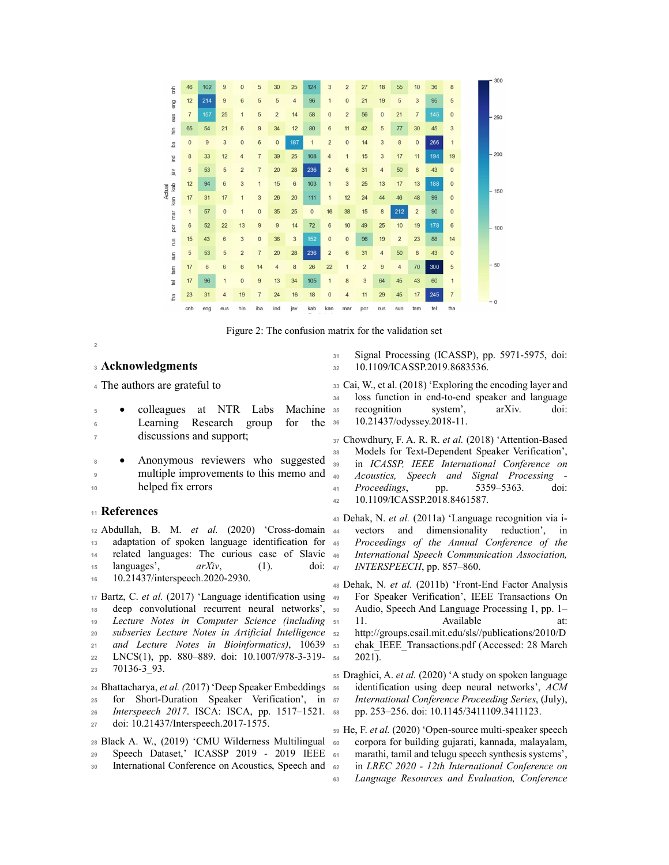|                           |                |                |                |                |                |                         |                |              |                 |                 |                |                |                |                |     |                 | 300    |
|---------------------------|----------------|----------------|----------------|----------------|----------------|-------------------------|----------------|--------------|-----------------|-----------------|----------------|----------------|----------------|----------------|-----|-----------------|--------|
| $\frac{1}{6}$             | 46             | 102            | 9              | $\mathbf{0}$   | 5              | 30                      | 25             | 124          | $\overline{3}$  | $\overline{c}$  | 27             | 18             | 55             | 10             | 36  | 8               |        |
| eng                       | 12             | 214            | 9              | $6\phantom{1}$ | 5              | 5                       | $\overline{4}$ | 96           | $\mathbf{1}$    | $\mathbf{0}$    | 21             | 19             | 5              | 3              | 95  | 5               |        |
| eus                       | $\overline{7}$ | 157            | 25             | $\mathbf{1}$   | 5              | $\overline{2}$          | 14             | 58           | $\mathbf{0}$    | $\overline{2}$  | 56             | $\mathbf{0}$   | 21             | $\overline{7}$ | 145 | $\mathbf 0$     | 250    |
| hin                       | 65             | 54             | 21             | $6\phantom{1}$ | $\overline{9}$ | 34                      | 12             | 80           | 6               | 11              | 42             | 5              | 77             | 30             | 45  | 3               |        |
| iba                       | $\mathbf{0}$   | $\overline{9}$ | 3              | $\mathbf{0}$   | $6\phantom{1}$ | $\overline{0}$          | 187            | $\mathbf{1}$ | $\overline{2}$  | $\overline{0}$  | 14             | 3              | 8              | $\mathbf{0}$   | 266 | $\mathbf{1}$    |        |
| ind                       | 8              | 33             | 12             | $\overline{4}$ | $\overline{7}$ | 39                      | 25             | 108          | $\overline{4}$  | $\mathbf{1}$    | 15             | 3              | 17             | 11             | 194 | 19              | 200    |
| iav                       | 5              | 53             | 5              | $\overline{c}$ | $\overline{7}$ | 20                      | 28             | 236          | $\overline{2}$  | 6               | 31             | $\overline{4}$ | 50             | 8              | 43  | $\mathbf 0$     |        |
| kab                       | 12             | 94             | $6\phantom{1}$ | 3              | $\overline{1}$ | 15                      | 6              | 103          | $\mathbf{1}$    | 3               | 25             | 13             | 17             | 13             | 188 | $\mathbf 0$     |        |
| Actual<br>kan             | 17             | 31             | 17             | $\mathbf{1}$   | 3              | 26                      | 20             | 111          | $\mathbf{1}$    | 12              | 24             | 44             | 46             | 48             | 99  | $\mathbf 0$     | $-150$ |
| mar                       | $\overline{1}$ | 57             | $\mathbf{0}$   | $\mathbf{1}$   | $\mathbf 0$    | 35                      | 25             | $\mathbf 0$  | 16              | 38              | 15             | 8              | 212            | $\overline{2}$ | 90  | $\mathbf 0$     |        |
| por                       | 6              | 52             | 22             | 13             | $\overline{9}$ | $\overline{9}$          | 14             | 72           | $6\phantom{1}6$ | 10              | 49             | 25             | 10             | 19             | 178 | $6\phantom{1}6$ | 100    |
| rus                       | 15             | 43             | 6              | 3              | $\bf{0}$       | 36                      | 3              | 152          | $\mathbf 0$     | $\mathbf{0}$    | 96             | 19             | $\overline{2}$ | 23             | 88  | 14              |        |
| sun                       | 5              | 53             | 5              | $\overline{c}$ | $\overline{7}$ | 20                      | 28             | 236          | $\overline{2}$  | $6\phantom{1}6$ | 31             | $\overline{4}$ | 50             | 8              | 43  | $\mathbf 0$     |        |
| m                         | 17             | $6\phantom{1}$ | 6              | $6\phantom{1}$ | 14             | $\overline{\mathbf{4}}$ | 8              | 26           | 22              | $\mathbf{1}$    | $\overline{c}$ | 9              | $\overline{4}$ | 70             | 300 | 5               | $-50$  |
| $\overline{\mathfrak{g}}$ | 17             | 96             | $\mathbf{1}$   | $\bf 0$        | $\overline{9}$ | 13                      | 34             | 105          | $\mathbf{1}$    | 8               | 3              | 64             | 45             | 43             | 60  | $\overline{1}$  |        |
| tha                       | 23             | 31             | $\overline{4}$ | 19             | $\overline{7}$ | 24                      | 16             | 18           | $\mathbf{0}$    | $\overline{4}$  | 11             | 29             | 45             | 17             | 245 | $\overline{7}$  |        |
|                           | cnh            | eng            | eus            | hin            | iba            | ind                     | jav            | kab          | kan             | mar             | por            | rus            | sun            | tam            | tel | tha             | $-0$   |

Figure 2: The confusion matrix for the validation set

## 3**2 Acknowledgments** 32

2

<sup>4</sup>The authors are grateful to

|   |                          |  |  |  | • colleagues at NTR Labs Machine 35 recognition system',<br>doi:<br>$arXiv$ . |
|---|--------------------------|--|--|--|-------------------------------------------------------------------------------|
| 6 |                          |  |  |  | Learning Research group for the 36 10.21437/odyssey.2018-11.                  |
|   | discussions and support; |  |  |  | 37 Chowdhury, F. A. R. R. <i>et al.</i> (2018) 'Attention-Based               |

 $\bullet$  Anonymous reviewers who suggested  $\frac{38}{39}$ 9 multiple improvements to this memo and <sub>40</sub> 10 helped fix errors

## <sup>11</sup>References

<sup>12</sup>Abdullah, B. M. et al. (2020) 'Cross-domain 13 adaptation of spoken language identification for 45 14 related languages: The curious case of Slavic 46 15 languages',  $arXiv$ , (1). doi:  $47$  INTERSPEECH, pp. 857–860. 16 10.21437/interspeech.2020-2930.

 $17$  Bartz, C. *et al.* (2017) 'Language identification using  $49$ 18 deep convolutional recurrent neural networks', 50 19 Lecture Notes in Computer Science (including 51 11. 20 subseries Lecture Notes in Artificial Intelligence 52 21 and Lecture Notes in Bioinformatics), 10639 53 <sup>22</sup>LNCS(1), pp. 880–889. doi: 10.1007/978-3-319- 23 70136-3 93.

24 Bhattacharya, et al. (2017) 'Deep Speaker Embeddings 5e

- 25 for Short-Duration Speaker Verification', in 57 26 Interspeech 2017. ISCA: ISCA, pp. 1517–1521. 58
- <sup>27</sup>doi: 10.21437/Interspeech.2017-1575.

28 Black A. W.,  $(2019)$  'CMU Wilderness Multilingual 60 29 Speech Dataset,' ICASSP 2019 - 2019 IEEE 61 30 International Conference on Acoustics, Speech and 62

31 Signal Processing (ICASSP), pp. 5971-5975, doi: <sup>32</sup>10.1109/ICASSP.2019.8683536.

- <sup>33</sup>Cai, W., et al. (2018) 'Exploring the encoding layer and 34 loss function in end-to-end speaker and language
- 37 Chowdhury, F. A. R. R. et al. (2018) 'Attention-Based Models for Text-Dependent Speaker Verification', in ICASSP, IEEE International Conference on Acoustics, Speech and Signal Processing -<sup>41</sup>Proceedings, pp. 5359–5363. doi: 42 10.1109/ICASSP.2018.8461587.
- 43 Dehak, N. et al. (2011a) 'Language recognition via ivectors and dimensionality reduction', in Proceedings of the Annual Conference of the International Speech Communication Association,
- 48 Dehak, N. et al. (2011b) 'Front-End Factor Analysis <sup>49</sup>For Speaker Verification', IEEE Transactions On Audio, Speech And Language Processing 1, pp. 1– Available at: <sup>52</sup>http://groups.csail.mit.edu/sls//publications/2010/D ehak IEEE Transactions.pdf (Accessed: 28 March) 2021).

<sup>55</sup>Draghici, A. et al. (2020) 'A study on spoken language identification using deep neural networks',  $ACM$ International Conference Proceeding Series, (July), <sup>58</sup>pp. 253–256. doi: 10.1145/3411109.3411123.

<sup>59</sup>He, F. et al. (2020) 'Open-source multi-speaker speech corpora for building gujarati, kannada, malayalam, marathi, tamil and telugu speech synthesis systems', in LREC 2020 - 12th International Conference on <sup>63</sup>Language Resources and Evaluation, Conference